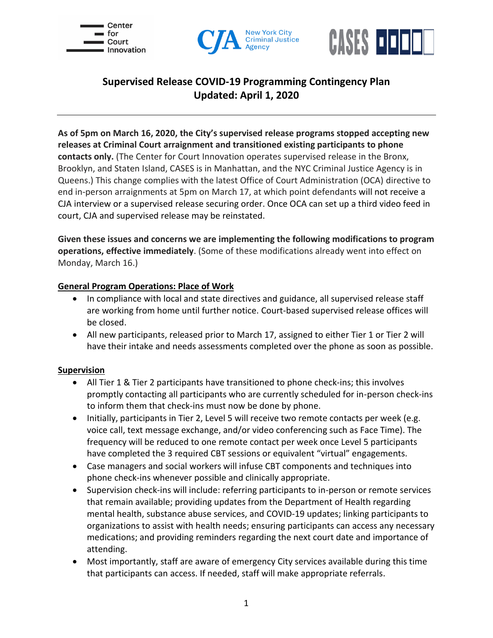





# **Supervised Release COVID-19 Programming Contingency Plan Updated: April 1, 2020**

**As of 5pm on March 16, 2020, the City's supervised release programs stopped accepting new releases at Criminal Court arraignment and transitioned existing participants to phone contacts only.** (The Center for Court Innovation operates supervised release in the Bronx, Brooklyn, and Staten Island, CASES is in Manhattan, and the NYC Criminal Justice Agency is in Queens.) This change complies with the latest Office of Court Administration (OCA) directive to end in-person arraignments at 5pm on March 17, at which point defendants will not receive a CJA interview or a supervised release securing order. Once OCA can set up a third video feed in court, CJA and supervised release may be reinstated.

**Given these issues and concerns we are implementing the following modifications to program operations, effective immediately**. (Some of these modifications already went into effect on Monday, March 16.)

### **General Program Operations: Place of Work**

- In compliance with local and state directives and guidance, all supervised release staff are working from home until further notice. Court-based supervised release offices will be closed.
- All new participants, released prior to March 17, assigned to either Tier 1 or Tier 2 will have their intake and needs assessments completed over the phone as soon as possible.

# **Supervision**

- All Tier 1 & Tier 2 participants have transitioned to phone check-ins; this involves promptly contacting all participants who are currently scheduled for in-person check-ins to inform them that check-ins must now be done by phone.
- Initially, participants in Tier 2, Level 5 will receive two remote contacts per week (e.g. voice call, text message exchange, and/or video conferencing such as Face Time). The frequency will be reduced to one remote contact per week once Level 5 participants have completed the 3 required CBT sessions or equivalent "virtual" engagements.
- Case managers and social workers will infuse CBT components and techniques into phone check-ins whenever possible and clinically appropriate.
- Supervision check-ins will include: referring participants to in-person or remote services that remain available; providing updates from the Department of Health regarding mental health, substance abuse services, and COVID-19 updates; linking participants to organizations to assist with health needs; ensuring participants can access any necessary medications; and providing reminders regarding the next court date and importance of attending.
- Most importantly, staff are aware of emergency City services available during this time that participants can access. If needed, staff will make appropriate referrals.